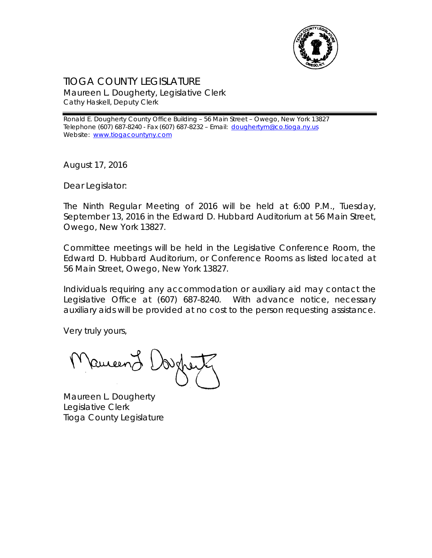

## TIOGA COUNTY LEGISLATURE Maureen L. Dougherty, Legislative Clerk Cathy Haskell, Deputy Clerk

Ronald E. Dougherty County Office Building – 56 Main Street – Owego, New York 13827 Telephone (607) 687-8240 - Fax (607) 687-8232 - Email: [doughertym@co.tioga.ny.us](mailto:doughertym@co.tioga.ny.us) Website: [www.tiogacountyny.com](http://www.tiogacountyny.com/)

August 17, 2016

Dear Legislator:

The Ninth Regular Meeting of 2016 will be held at 6:00 P.M., Tuesday, September 13, 2016 in the Edward D. Hubbard Auditorium at 56 Main Street, Owego, New York 13827.

Committee meetings will be held in the Legislative Conference Room, the Edward D. Hubbard Auditorium, or Conference Rooms as listed located at 56 Main Street, Owego, New York 13827.

Individuals requiring any accommodation or auxiliary aid may contact the Legislative Office at (607) 687-8240. With advance notice, necessary auxiliary aids will be provided at no cost to the person requesting assistance.

Very truly yours,

auceen

Maureen L. Dougherty Legislative Clerk Tioga County Legislature